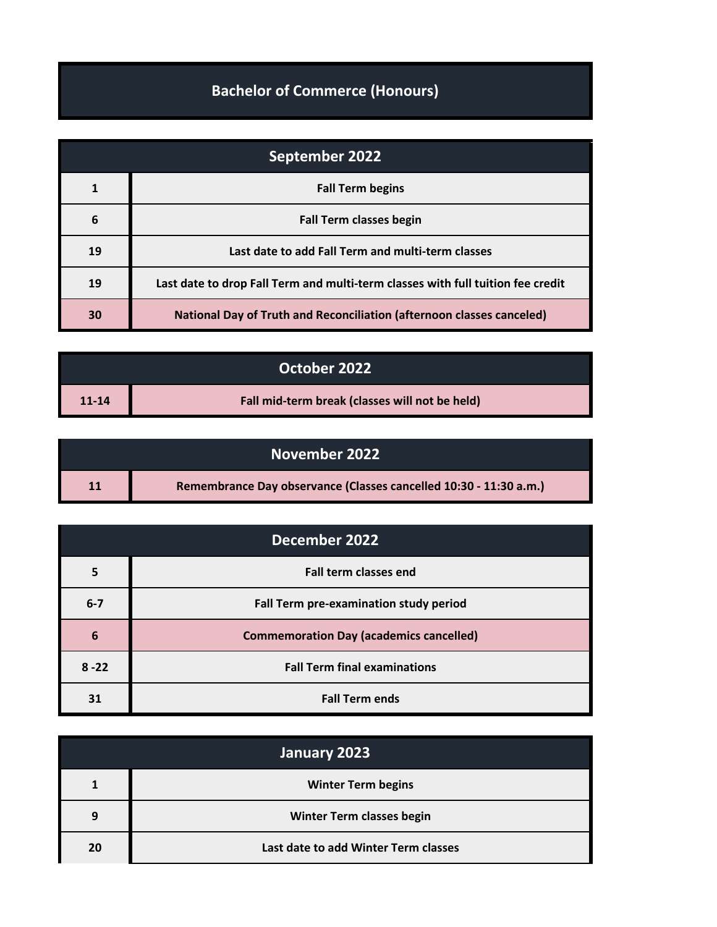## **Bachelor of Commerce (Honours)**

| September 2022 |                                                                                 |
|----------------|---------------------------------------------------------------------------------|
|                | <b>Fall Term begins</b>                                                         |
| 6              | <b>Fall Term classes begin</b>                                                  |
| 19             | Last date to add Fall Term and multi-term classes                               |
| 19             | Last date to drop Fall Term and multi-term classes with full tuition fee credit |
| 30             | <b>National Day of Truth and Reconciliation (afternoon classes canceled)</b>    |

| October 2022 |                                                |
|--------------|------------------------------------------------|
| $11 - 14$    | Fall mid-term break (classes will not be held) |

| November 2022 |                                                                   |
|---------------|-------------------------------------------------------------------|
| 11            | Remembrance Day observance (Classes cancelled 10:30 - 11:30 a.m.) |

| December 2022 |                                                |
|---------------|------------------------------------------------|
|               | <b>Fall term classes end</b>                   |
| $6 - 7$       | Fall Term pre-examination study period         |
| 6             | <b>Commemoration Day (academics cancelled)</b> |
| $8 - 22$      | <b>Fall Term final examinations</b>            |
| 31            | <b>Fall Term ends</b>                          |

| January 2023 |                                      |
|--------------|--------------------------------------|
|              | <b>Winter Term begins</b>            |
| 9            | <b>Winter Term classes begin</b>     |
| 20           | Last date to add Winter Term classes |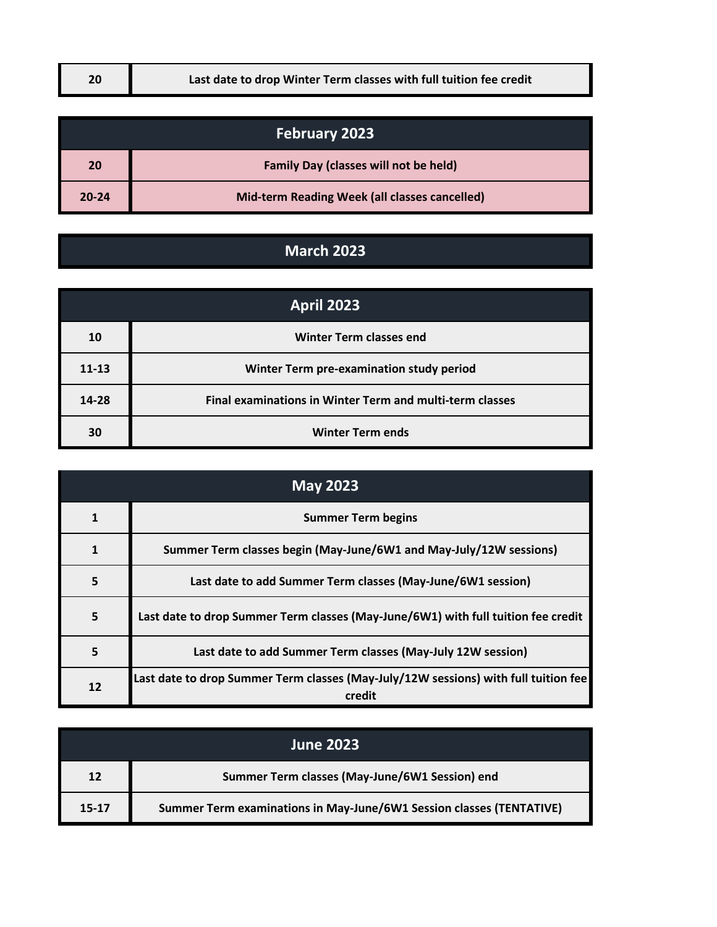| <b>February 2023</b> |                                               |
|----------------------|-----------------------------------------------|
| 20                   | <b>Family Day (classes will not be held)</b>  |
| $20 - 24$            | Mid-term Reading Week (all classes cancelled) |

## **March 2023**

| <b>April 2023</b> |                                                          |
|-------------------|----------------------------------------------------------|
| 10                | <b>Winter Term classes end</b>                           |
| $11 - 13$         | Winter Term pre-examination study period                 |
| $14 - 28$         | Final examinations in Winter Term and multi-term classes |
| 30                | <b>Winter Term ends</b>                                  |

| <b>May 2023</b> |                                                                                               |
|-----------------|-----------------------------------------------------------------------------------------------|
|                 | <b>Summer Term begins</b>                                                                     |
|                 | Summer Term classes begin (May-June/6W1 and May-July/12W sessions)                            |
| 5               | Last date to add Summer Term classes (May-June/6W1 session)                                   |
| 5               | Last date to drop Summer Term classes (May-June/6W1) with full tuition fee credit             |
| 5               | Last date to add Summer Term classes (May-July 12W session)                                   |
| 12              | Last date to drop Summer Term classes (May-July/12W sessions) with full tuition fee<br>credit |

| <b>June 2023</b> |                                                                      |
|------------------|----------------------------------------------------------------------|
| 12               | Summer Term classes (May-June/6W1 Session) end                       |
| $15 - 17$        | Summer Term examinations in May-June/6W1 Session classes (TENTATIVE) |